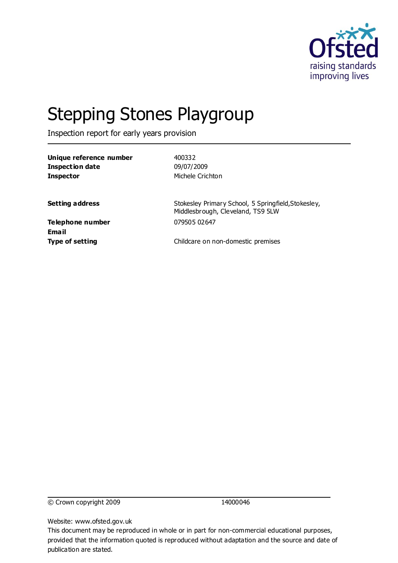

# Stepping Stones Playgroup

Inspection report for early years provision

| Unique reference number   | 400332                                                                                   |
|---------------------------|------------------------------------------------------------------------------------------|
| <b>Inspection date</b>    | 09/07/2009                                                                               |
| <b>Inspector</b>          | Michele Crichton                                                                         |
| <b>Setting address</b>    | Stokesley Primary School, 5 Springfield, Stokesley,<br>Middlesbrough, Cleveland, TS9 5LW |
| Telephone number<br>Email | 079505 02647                                                                             |
| <b>Type of setting</b>    | Childcare on non-domestic premises                                                       |

© Crown copyright 2009 14000046

Website: www.ofsted.gov.uk

This document may be reproduced in whole or in part for non-commercial educational purposes, provided that the information quoted is reproduced without adaptation and the source and date of publication are stated.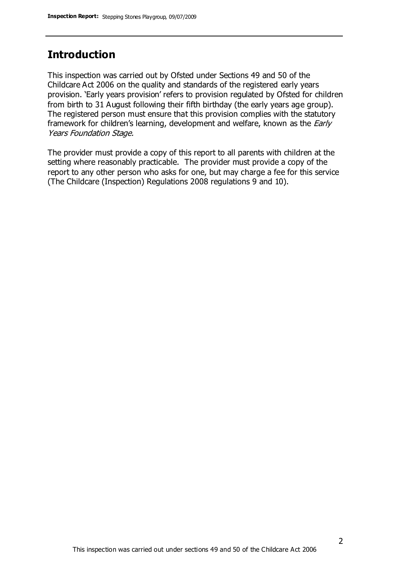#### **Introduction**

This inspection was carried out by Ofsted under Sections 49 and 50 of the Childcare Act 2006 on the quality and standards of the registered early years provision. 'Early years provision' refers to provision regulated by Ofsted for children from birth to 31 August following their fifth birthday (the early years age group). The registered person must ensure that this provision complies with the statutory framework for children's learning, development and welfare, known as the *Early* Years Foundation Stage.

The provider must provide a copy of this report to all parents with children at the setting where reasonably practicable. The provider must provide a copy of the report to any other person who asks for one, but may charge a fee for this service (The Childcare (Inspection) Regulations 2008 regulations 9 and 10).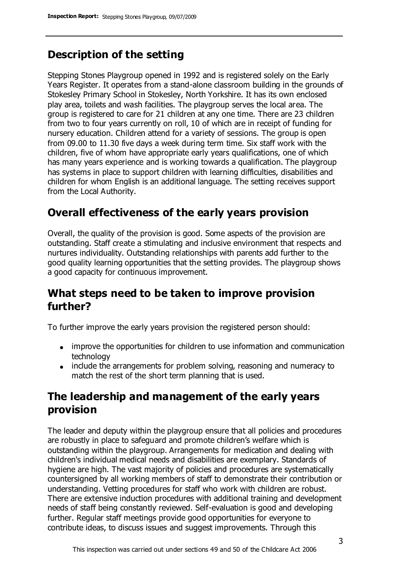# **Description of the setting**

Stepping Stones Playgroup opened in 1992 and is registered solely on the Early Years Register. It operates from a stand-alone classroom building in the grounds of Stokesley Primary School in Stokesley, North Yorkshire. It has its own enclosed play area, toilets and wash facilities. The playgroup serves the local area. The group is registered to care for 21 children at any one time. There are 23 children from two to four years currently on roll, 10 of which are in receipt of funding for nursery education. Children attend for a variety of sessions. The group is open from 09.00 to 11.30 five days a week during term time. Six staff work with the children, five of whom have appropriate early years qualifications, one of which has many years experience and is working towards a qualification. The playgroup has systems in place to support children with learning difficulties, disabilities and children for whom English is an additional language. The setting receives support from the Local Authority.

#### **Overall effectiveness of the early years provision**

Overall, the quality of the provision is good. Some aspects of the provision are outstanding. Staff create a stimulating and inclusive environment that respects and nurtures individuality. Outstanding relationships with parents add further to the good quality learning opportunities that the setting provides. The playgroup shows a good capacity for continuous improvement.

## **What steps need to be taken to improve provision further?**

To further improve the early years provision the registered person should:

- improve the opportunities for children to use information and communication technology
- include the arrangements for problem solving, reasoning and numeracy to match the rest of the short term planning that is used.

## **The leadership and management of the early years provision**

The leader and deputy within the playgroup ensure that all policies and procedures are robustly in place to safeguard and promote children's welfare which is outstanding within the playgroup. Arrangements for medication and dealing with children's individual medical needs and disabilities are exemplary. Standards of hygiene are high. The vast majority of policies and procedures are systematically countersigned by all working members of staff to demonstrate their contribution or understanding. Vetting procedures for staff who work with children are robust. There are extensive induction procedures with additional training and development needs of staff being constantly reviewed. Self-evaluation is good and developing further. Regular staff meetings provide good opportunities for everyone to contribute ideas, to discuss issues and suggest improvements. Through this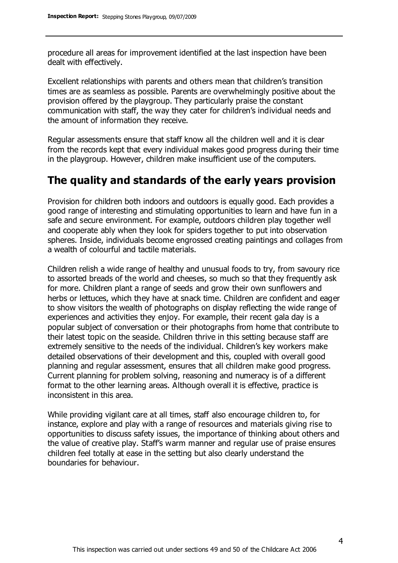procedure all areas for improvement identified at the last inspection have been dealt with effectively.

Excellent relationships with parents and others mean that children's transition times are as seamless as possible. Parents are overwhelmingly positive about the provision offered by the playgroup. They particularly praise the constant communication with staff, the way they cater for children's individual needs and the amount of information they receive.

Regular assessments ensure that staff know all the children well and it is clear from the records kept that every individual makes good progress during their time in the playgroup. However, children make insufficient use of the computers.

#### **The quality and standards of the early years provision**

Provision for children both indoors and outdoors is equally good. Each provides a good range of interesting and stimulating opportunities to learn and have fun in a safe and secure environment. For example, outdoors children play together well and cooperate ably when they look for spiders together to put into observation spheres. Inside, individuals become engrossed creating paintings and collages from a wealth of colourful and tactile materials.

Children relish a wide range of healthy and unusual foods to try, from savoury rice to assorted breads of the world and cheeses, so much so that they frequently ask for more. Children plant a range of seeds and grow their own sunflowers and herbs or lettuces, which they have at snack time. Children are confident and eager to show visitors the wealth of photographs on display reflecting the wide range of experiences and activities they enjoy. For example, their recent gala day is a popular subject of conversation or their photographs from home that contribute to their latest topic on the seaside. Children thrive in this setting because staff are extremely sensitive to the needs of the individual. Children's key workers make detailed observations of their development and this, coupled with overall good planning and regular assessment, ensures that all children make good progress. Current planning for problem solving, reasoning and numeracy is of a different format to the other learning areas. Although overall it is effective, practice is inconsistent in this area.

While providing vigilant care at all times, staff also encourage children to, for instance, explore and play with a range of resources and materials giving rise to opportunities to discuss safety issues, the importance of thinking about others and the value of creative play. Staff's warm manner and regular use of praise ensures children feel totally at ease in the setting but also clearly understand the boundaries for behaviour.